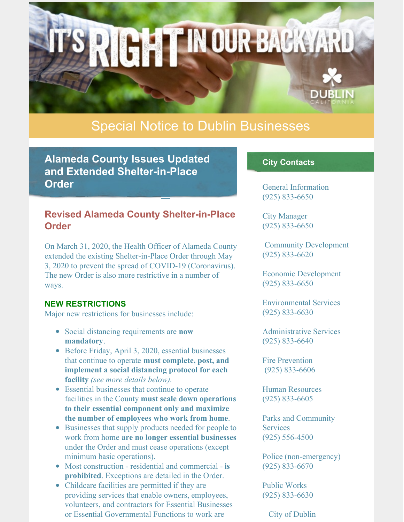# Special Notice to Dublin Businesses

**RIGHT IN OUR BACKYARD** 

**Alameda County Issues Updated and Extended Shelter-in-Place Order**

## **Revised Alameda County Shelter-in-Place Order**

On March 31, 2020, the Health Officer of Alameda County extended the existing Shelter-in-Place Order through May 3, 2020 to prevent the spread of COVID-19 (Coronavirus). The new Order is also more restrictive in a number of ways.

#### **NEW RESTRICTIONS**

Major new restrictions for businesses include:

- Social distancing requirements are **now mandatory**.
- Before Friday, April 3, 2020, essential businesses that continue to operate **must complete, post, and implement a social distancing protocol for each facility** *(see more details below).*
- Essential businesses that continue to operate facilities in the County **must scale down operations to their essential component only and maximize the number of employees who work from home**.
- Businesses that supply products needed for people to work from home **are no longer essential businesses** under the Order and must cease operations (except minimum basic operations).
- Most construction residential and commercial **is prohibited**. Exceptions are detailed in the Order.
- Childcare facilities are permitted if they are providing services that enable owners, employees, volunteers, and contractors for Essential Businesses or Essential Governmental Functions to work are

### **City Contacts**

General Information (925) 833-6650

City Manager (925) 833-6650

Community Development (925) 833-6620

Economic Development (925) 833-6650

Environmental Services (925) 833-6630

Administrative Services (925) 833-6640

Fire Prevention (925) 833-6606

Human Resources (925) 833-6605

Parks and Community **Services** (925) 556-4500

Police (non-emergency) (925) 833-6670

Public Works (925) 833-6630

City of Dublin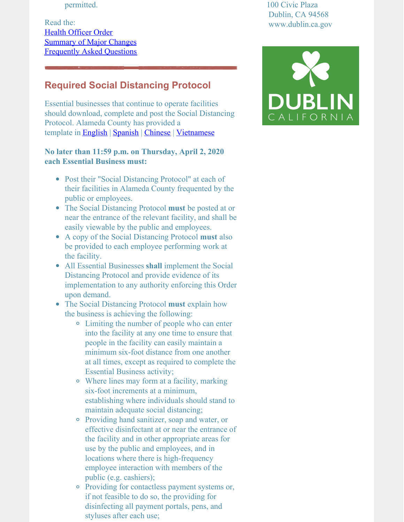permitted.

Read the: Health [Officer](http://www.acphd.org/media/563688/health-officer-order-20-04-shelter-in-place-20200331.pdf) Order [Summary](http://www.acphd.org/media/563713/summary-updated-shelter-in-place-order-20200331.pdf) of Major Changes [Frequently](https://covid-19.acgov.org/index.page) Asked Questions

## **Required Social Distancing Protocol**

Essential businesses that continue to operate facilities should download, complete and post the Social Distancing Protocol. Alameda County has provided a template in [English](https://covid-19.acgov.org/covid19-assets/docs/appendix-a-social-distancing-protocol English.docx) | [Spanish](https://covid-19.acgov.org/covid19-assets/docs/9 03.31.20 Appendix A - Social Distancing Protocol - SPANISH.docx) | [Chinese](https://covid-19.acgov.org/covid19-assets/docs/8 03.31.20 Appendix A - Social Distancing Protocol - CHINESE FINAL.docx) | [Vietnamese](https://covid-19.acgov.org/covid19-assets/docs/10 03.31.20 Appendix A - Social Distancing Protocol - VIETNAMESE.docx)

#### **No later than 11:59 p.m. on Thursday, April 2, 2020 each Essential Business must:**

- Post their "Social Distancing Protocol" at each of their facilities in Alameda County frequented by the public or employees.
- The Social Distancing Protocol **must** be posted at or near the entrance of the relevant facility, and shall be easily viewable by the public and employees.
- A copy of the Social Distancing Protocol **must** also be provided to each employee performing work at the facility.
- All Essential Businesses **shall** implement the Social Distancing Protocol and provide evidence of its implementation to any authority enforcing this Order upon demand.
- The Social Distancing Protocol **must** explain how the business is achieving the following:
	- Limiting the number of people who can enter into the facility at any one time to ensure that people in the facility can easily maintain a minimum six-foot distance from one another at all times, except as required to complete the Essential Business activity;
	- Where lines may form at a facility, marking six-foot increments at a minimum, establishing where individuals should stand to maintain adequate social distancing;
	- Providing hand sanitizer, soap and water, or effective disinfectant at or near the entrance of the facility and in other appropriate areas for use by the public and employees, and in locations where there is high-frequency employee interaction with members of the public (e.g. cashiers);
	- Providing for contactless payment systems or, if not feasible to do so, the providing for disinfecting all payment portals, pens, and styluses after each use;

100 Civic Plaza Dublin, CA 94568 www.dublin.ca.gov